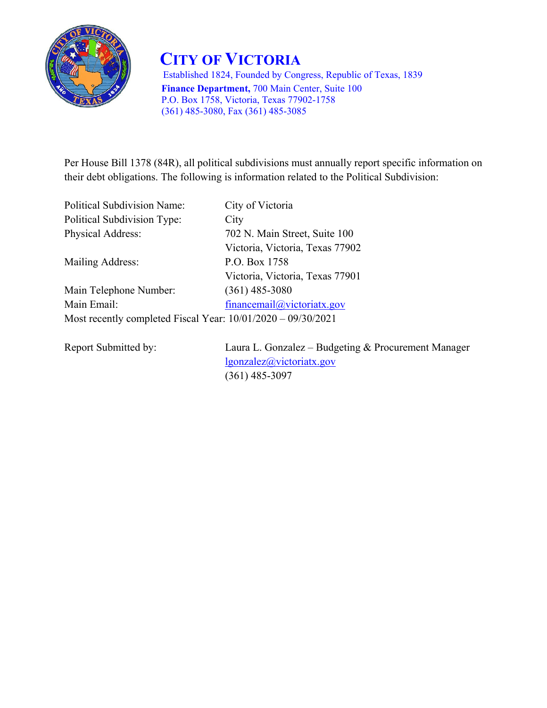

 **CITY OF VICTORIA** Established 1824, Founded by Congress, Republic of Texas, 1839  **Finance Department,** 700 Main Center, Suite 100 P.O. Box 1758, Victoria, Texas 77902-1758 (361) 485-3080, Fax (361) 485-3085

Victoria, Victoria, Texas 77902

Per House Bill 1378 (84R), all political subdivisions must annually report specific information on their debt obligations. The following is information related to the Political Subdivision:

Political Subdivision Name: City of Victoria Political Subdivision Type: City Physical Address: 702 N. Main Street, Suite 100

Mailing Address: P.O. Box 1758

 Victoria, Victoria, Texas 77901 Main Telephone Number: (361) 485-3080 Main Email: financemail@victoriatx.gov Most recently completed Fiscal Year: 10/01/2020 – 09/30/2021

Report Submitted by: Laura L. Gonzalez – Budgeting & Procurement Manager lgonzalez@victoriatx.gov (361) 485-3097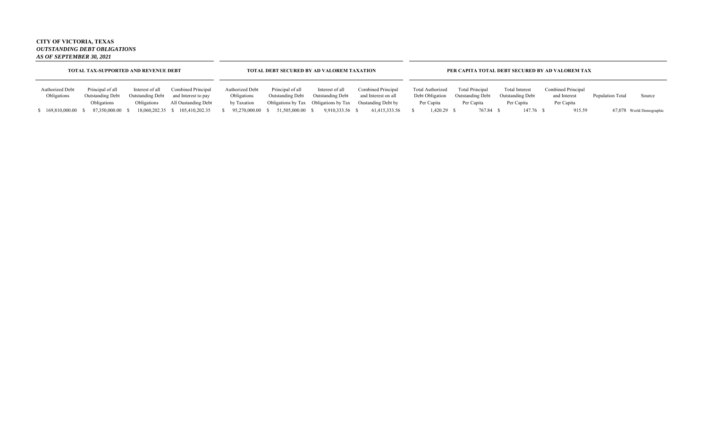## **CITY OF VICTORIA, TEXAS** *OUTSTANDING DEBT OBLIGATIONS AS OF SEPTEMBER 30, 2021*

|                                       | <b>TOTAL TAX-SUPPORTED AND REVENUE DEBT</b> |                                            |                                           |                                |                                      | TOTAL DEBT SECURED BY AD VALOREM TAXATION |                                                          | PER CAPITA TOTAL DEBT SECURED BY AD VALOREM TAX |                                                   |                                                  |                                    |                  |                          |  |  |
|---------------------------------------|---------------------------------------------|--------------------------------------------|-------------------------------------------|--------------------------------|--------------------------------------|-------------------------------------------|----------------------------------------------------------|-------------------------------------------------|---------------------------------------------------|--------------------------------------------------|------------------------------------|------------------|--------------------------|--|--|
| <b>Authorized Debt</b><br>Obligations | Principal of all<br><b>Outstanding Debt</b> | Interest of all<br><b>Outstanding Debt</b> | Combined Principal<br>and Interest to pay | Authorized Debt<br>Obligations | Principal of all<br>Outstanding Debt | Interest of all<br>Outstanding Debt       | Combined Principal<br>and Interest on all                | Total Authorized<br>Debt Obligation             | <b>Total Principal</b><br><b>Outstanding Debt</b> | <b>Total Interest</b><br><b>Outstanding Debt</b> | Combined Principal<br>and Interest | Population Total | Source                   |  |  |
|                                       | Obligations                                 | Obligations                                | All Oustanding Debt                       | by Taxation                    |                                      |                                           | Obligations by Tax Obligations by Tax Oustanding Debt by | Per Capita                                      | Per Capita                                        | Per Capita                                       | Per Capita                         |                  |                          |  |  |
| 169,810,000.00                        | 87.350.000.00                               | 18,060,202.35                              | 105,410,202.35                            | 95.270,000.00 \$               | 51,505,000.00 \$                     | 9.910.333.56 \$                           | 61,415,333.56                                            | 1,420.29 \$                                     | 767.84 \$                                         | 147.76 \$                                        | 915.59                             |                  | 67,078 World Demographic |  |  |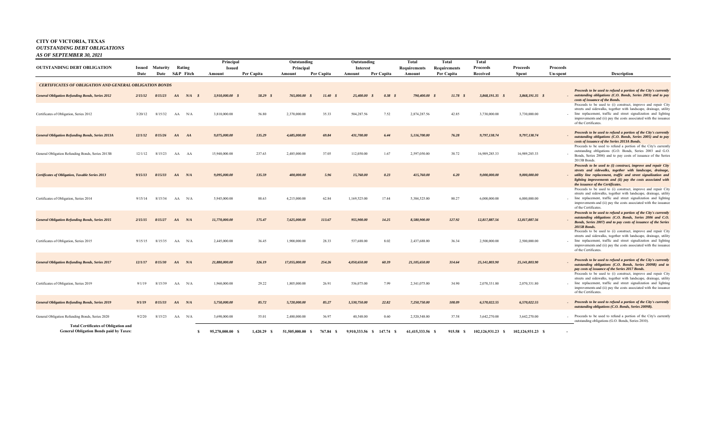## **CITY OF VICTORIA, TEXAS** *OUTSTANDING DEBT OBLIGATIONS AS OF SEPTEMBER 30, 2021*

|                                                                                                                          |         |          |    |            | Principal              |            | Outstanding                   |               | Outstanding         |              | Total            | Total        | Total             |                   |                |                                                                                                                                                                                                                                                                                                                                      |
|--------------------------------------------------------------------------------------------------------------------------|---------|----------|----|------------|------------------------|------------|-------------------------------|---------------|---------------------|--------------|------------------|--------------|-------------------|-------------------|----------------|--------------------------------------------------------------------------------------------------------------------------------------------------------------------------------------------------------------------------------------------------------------------------------------------------------------------------------------|
| <b>OUTSTANDING DEBT OBLIGATION</b>                                                                                       | Issued  | Maturity |    | Rating     | <b>Issued</b>          |            | Principal                     |               | Interest            |              | Requirements     | Requirements | Proceeds          | Proceeds          | Proceeds       |                                                                                                                                                                                                                                                                                                                                      |
|                                                                                                                          | Date    | Date     |    | S&P Fitch  | Amount                 | Per Capita | Amount                        | Per Capita    | Amount              | Per Capita   | Amount           | Per Capita   | Received          | <b>Spent</b>      | Un-spent       | <b>Description</b>                                                                                                                                                                                                                                                                                                                   |
| <b>CERTIFICATES OF OBLIGATION AND GENERAL OBLIGATION BONDS</b><br><b>General Obligation Refunding Bonds, Series 2012</b> | 2/15/12 | 8/15/23  | AA | $N/A$ \$   | 3,910,000.00 \$        | 58.29 \$   | 765,000.00<br>$\mathcal{S}$   | 11.40S        | 25,400.00<br>- \$   | 0.38<br>- \$ | 790,400.00 \$    | $11.78$ \$   | 3,868,191.35 \$   | 3,868,191.35 \$   |                | Proceeds to be used to refund a portion of the City's currently<br>outstanding obligations (C.O. Bonds, Series 2003) and to pay                                                                                                                                                                                                      |
| Certificates of Obligation, Series 2012                                                                                  | 3/20/12 | 8/15/32  | AA | N/A        | 3,810,000.00           | 56.80      | 2,370,000.00                  | 35.33         | 504,287.56          | 7.52         | 2,874,287.56     | 42.85        | 3,730,000.00      | 3,730,000.00      |                | costs of issuance of the Bonds.<br>Proceeds to be used to (i) construct, improve and repair City<br>streets and sidewalks, together with landscape, drainage, utility<br>line replacement, traffic and street signalization and lighting<br>improvements and (ii) pay the costs associated with the issuance<br>of the Certificates. |
| <b>General Obligation Refunding Bonds, Series 2013A</b>                                                                  | 12/1/12 | 8/15/26  | AA | AA         | 9,075,000.00           | 135.29     | 4,685,000.00                  | 69.84         | 431,700.00          | 6.44         | 5,116,700.00     | 76.28        | 9,797,138.74      | 9,797,138.74      |                | Proceeds to be used to refund a portion of the City's currently<br>outstanding obligations (C.O. Bonds, Series 2005) and to pay<br>costs of issuance of the Series 2013A Bonds.                                                                                                                                                      |
| General Obligation Refunding Bonds, Series 2013B                                                                         | 12/1/12 | 8/15/23  | AA | AA         | 15,940,000.00          | 237.63     | 2,485,000.00                  | 37.05         | 112,050.00          | 1.67         | 2,597,050.00     | 38.72        | 16,989,285.33     | 16,989,285.33     |                | Proceeds to be used to refund a portion of the City's currently<br>outstanding obligations (G.O. Bonds, Series 2003 and G.O.<br>Bonds, Series 2004) and to pay costs of issuance of the Series<br>2013B Bonds                                                                                                                        |
| <b>Certificates of Obligation, Taxable Series 2013</b>                                                                   | 9/15/13 | 8/15/33  |    | AA N/A     | 9,095,000.00           | 135.59     | 400,000.00                    | 5.96          | 15,760.00           | 0.23         | 415,760.00       | 6.20         | 9,000,000.00      | 9,000,000.00      |                | Proceeds to be used to (i) construct, improve and repair City<br>streets and sidewalks, together with landscape, drainage,<br>utility line replacement, traffic and street signalization and<br>lighting improvements and (ii) pay the costs associated with<br>the issuance of the Certificates.                                    |
| Certificates of Obligation, Series 2014                                                                                  | 9/15/14 | 8/15/34  |    | AA N/A     | 5,945,000.00           | 88.63      | 4,215,000.00                  | 62.84         | 1,169,525.00        | 17.44        | 5,384,525.00     | 80.27        | 6,000,000.00      | 6,000,000.00      |                | Proceeds to be used to (i) construct, improve and repair City<br>streets and sidewalks, together with landscape, drainage, utility<br>line replacement, traffic and street signalization and lighting<br>improvements and (ii) pay the costs associated with the issuance<br>of the Certificates.                                    |
| <b>General Obligation Refunding Bonds, Series 2015</b>                                                                   | 2/15/15 | 8/15/27  | AA | N/A        | 11,770,000.00          | 175.47     | 7,625,000.00                  | 113.67        | 955,900.00          | 14.25        | 8,580,900.00     | 127.92       | 12,817,887.56     | 12,817,887.56     |                | Proceeds to be used to refund a portion of the City's currently<br>outstanding obligations (C.O. Bonds, Series 2006 and C.O.<br>Bonds, Series 2007) and to pay costs of issuance of the Series<br>2015B Bonds.                                                                                                                       |
| Certificates of Obligation, Series 2015                                                                                  | 9/15/15 | 8/15/35  |    | AA N/A     | 2,445,000.00           | 36.45      | 1,900,000.00                  | 28.33         | 537,688.00          | 8.02         | 2,437,688.00     | 36.34        | 2,500,000.00      | 2,500,000.00      |                | Proceeds to be used to (i) construct, improve and repair City<br>streets and sidewalks, together with landscape, drainage, utility<br>line replacement, traffic and street signalization and lighting<br>improvements and (ii) pay the costs associated with the issuance<br>of the Certificates.                                    |
| <b>General Obligation Refunding Bonds, Series 2017</b>                                                                   | 12/1/17 | 8/15/30  |    | $AA$ $N/A$ | 21,880,000.00          | 326.19     | 17,055,000.00                 | 254.26        | 4,050,650.00        | 60.39        | 21,105,650.00    | 314.64       | 25,141,803.90     | 25,141,803.90     |                | Proceeds to be used to refund a portion of the City's currently<br>outstanding obligations (C.O. Bonds, Series 2009B) and to<br>pay costs of issuance of the Series 2017 Bonds.                                                                                                                                                      |
| Certificates of Obligation, Series 2019                                                                                  | 9/1/19  | 8/15/39  |    | AA N/A     | 1,960,000,00           | 29.22      | 1,805,000.00                  | 26.91         | 536,075.00          | 7.99         | 2,341,075.00     | 34.90        | 2,070,331.80      | 2,070,331.80      |                | Proceeds to be used to (i) construct, improve and repair City<br>streets and sidewalks, together with landscape, drainage, utility<br>line replacement, traffic and street signalization and lighting<br>improvements and (ii) pay the costs associated with the issuance<br>of the Certificates.                                    |
| <b>General Obligation Refunding Bonds, Series 2019</b>                                                                   | 9/1/19  | 8/15/33  | AA | N/A        | 5,750,000.00           | 85.72      | 5,720,000.00                  | 85.27         | 1,530,750.00        | 22.82        | 7,250,750.00     | 108.09       | 6,570,022.55      | 6,570,022.55      |                | - Proceeds to be used to refund a portion of the City's currently<br>outstanding obligations (C.O. Bonds, Series 2009B).                                                                                                                                                                                                             |
| General Obligation Refunding Bonds, Series 2020                                                                          | 9/2/20  | 8/15/23  | AA | N/A        | 3,690,000.00           | 55.01      | 2,480,000.00                  | 36.97         | 40,548.00           | 0.60         | 2,520,548.00     | 37.58        | 3,642,270.00      | 3,642,270.00      |                | - Proceeds to be used to refund a portion of the City's currently<br>outstanding obligations (G.O. Bonds, Series 2010).                                                                                                                                                                                                              |
| <b>Total Certificates of Obligation and</b><br><b>General Obligation Bonds paid by Taxes:</b>                            |         |          |    |            | 95,270,000.00 \$<br>S. | 1.420.29   | 51,505,000.00<br>$\mathbf{s}$ | 767.84<br>- 5 | 9,910,333.56<br>- S | 147.74       | 61.415.333.56 \$ | 915.58 \$    | 102,126,931.23 \$ | 102,126,931.23 \$ | $\blacksquare$ |                                                                                                                                                                                                                                                                                                                                      |